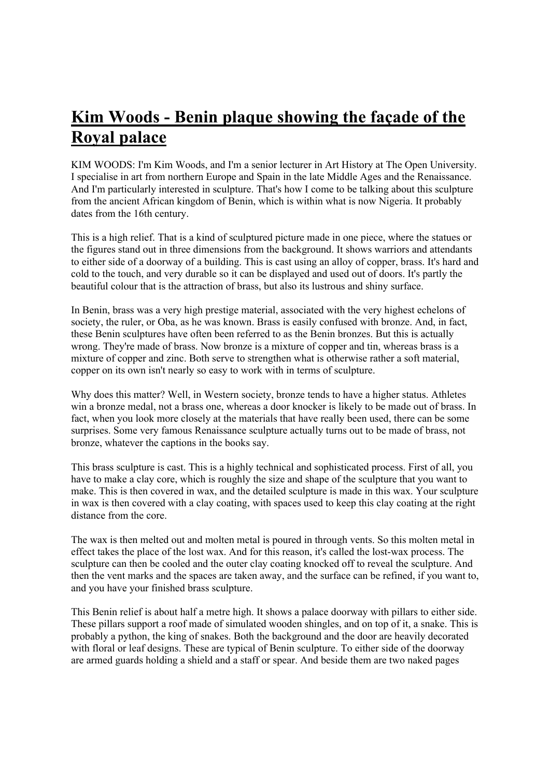## **Kim Woods - Benin plaque showing the façade of the Royal palace**

KIM WOODS: I'm Kim Woods, and I'm a senior lecturer in Art History at The Open University. I specialise in art from northern Europe and Spain in the late Middle Ages and the Renaissance. And I'm particularly interested in sculpture. That's how I come to be talking about this sculpture from the ancient African kingdom of Benin, which is within what is now Nigeria. It probably dates from the 16th century.

This is a high relief. That is a kind of sculptured picture made in one piece, where the statues or the figures stand out in three dimensions from the background. It shows warriors and attendants to either side of a doorway of a building. This is cast using an alloy of copper, brass. It's hard and cold to the touch, and very durable so it can be displayed and used out of doors. It's partly the beautiful colour that is the attraction of brass, but also its lustrous and shiny surface.

In Benin, brass was a very high prestige material, associated with the very highest echelons of society, the ruler, or Oba, as he was known. Brass is easily confused with bronze. And, in fact, these Benin sculptures have often been referred to as the Benin bronzes. But this is actually wrong. They're made of brass. Now bronze is a mixture of copper and tin, whereas brass is a mixture of copper and zinc. Both serve to strengthen what is otherwise rather a soft material, copper on its own isn't nearly so easy to work with in terms of sculpture.

Why does this matter? Well, in Western society, bronze tends to have a higher status. Athletes win a bronze medal, not a brass one, whereas a door knocker is likely to be made out of brass. In fact, when you look more closely at the materials that have really been used, there can be some surprises. Some very famous Renaissance sculpture actually turns out to be made of brass, not bronze, whatever the captions in the books say.

This brass sculpture is cast. This is a highly technical and sophisticated process. First of all, you have to make a clay core, which is roughly the size and shape of the sculpture that you want to make. This is then covered in wax, and the detailed sculpture is made in this wax. Your sculpture in wax is then covered with a clay coating, with spaces used to keep this clay coating at the right distance from the core.

The wax is then melted out and molten metal is poured in through vents. So this molten metal in effect takes the place of the lost wax. And for this reason, it's called the lost-wax process. The sculpture can then be cooled and the outer clay coating knocked off to reveal the sculpture. And then the vent marks and the spaces are taken away, and the surface can be refined, if you want to, and you have your finished brass sculpture.

This Benin relief is about half a metre high. It shows a palace doorway with pillars to either side. These pillars support a roof made of simulated wooden shingles, and on top of it, a snake. This is probably a python, the king of snakes. Both the background and the door are heavily decorated with floral or leaf designs. These are typical of Benin sculpture. To either side of the doorway are armed guards holding a shield and a staff or spear. And beside them are two naked pages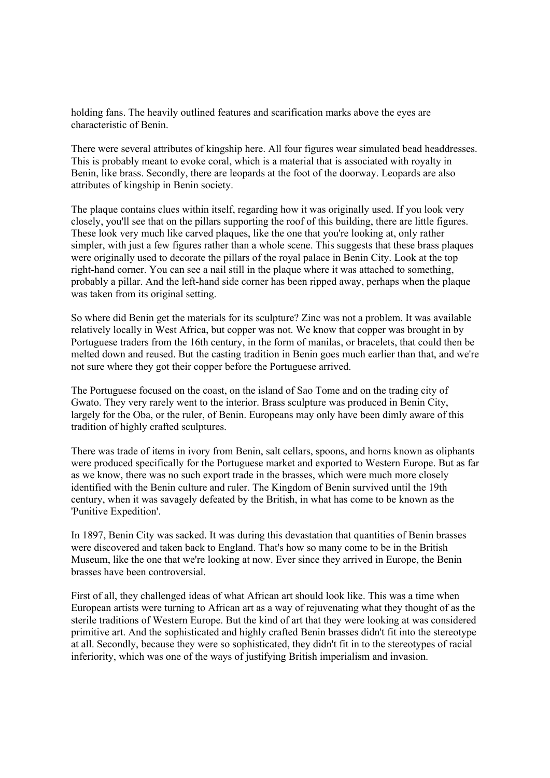holding fans. The heavily outlined features and scarification marks above the eyes are characteristic of Benin.

There were several attributes of kingship here. All four figures wear simulated bead headdresses. This is probably meant to evoke coral, which is a material that is associated with royalty in Benin, like brass. Secondly, there are leopards at the foot of the doorway. Leopards are also attributes of kingship in Benin society.

The plaque contains clues within itself, regarding how it was originally used. If you look very closely, you'll see that on the pillars supporting the roof of this building, there are little figures. These look very much like carved plaques, like the one that you're looking at, only rather simpler, with just a few figures rather than a whole scene. This suggests that these brass plaques were originally used to decorate the pillars of the royal palace in Benin City. Look at the top right-hand corner. You can see a nail still in the plaque where it was attached to something, probably a pillar. And the left-hand side corner has been ripped away, perhaps when the plaque was taken from its original setting.

So where did Benin get the materials for its sculpture? Zinc was not a problem. It was available relatively locally in West Africa, but copper was not. We know that copper was brought in by Portuguese traders from the 16th century, in the form of manilas, or bracelets, that could then be melted down and reused. But the casting tradition in Benin goes much earlier than that, and we're not sure where they got their copper before the Portuguese arrived.

The Portuguese focused on the coast, on the island of Sao Tome and on the trading city of Gwato. They very rarely went to the interior. Brass sculpture was produced in Benin City, largely for the Oba, or the ruler, of Benin. Europeans may only have been dimly aware of this tradition of highly crafted sculptures.

There was trade of items in ivory from Benin, salt cellars, spoons, and horns known as oliphants were produced specifically for the Portuguese market and exported to Western Europe. But as far as we know, there was no such export trade in the brasses, which were much more closely identified with the Benin culture and ruler. The Kingdom of Benin survived until the 19th century, when it was savagely defeated by the British, in what has come to be known as the 'Punitive Expedition'.

In 1897, Benin City was sacked. It was during this devastation that quantities of Benin brasses were discovered and taken back to England. That's how so many come to be in the British Museum, like the one that we're looking at now. Ever since they arrived in Europe, the Benin brasses have been controversial.

First of all, they challenged ideas of what African art should look like. This was a time when European artists were turning to African art as a way of rejuvenating what they thought of as the sterile traditions of Western Europe. But the kind of art that they were looking at was considered primitive art. And the sophisticated and highly crafted Benin brasses didn't fit into the stereotype at all. Secondly, because they were so sophisticated, they didn't fit in to the stereotypes of racial inferiority, which was one of the ways of justifying British imperialism and invasion.